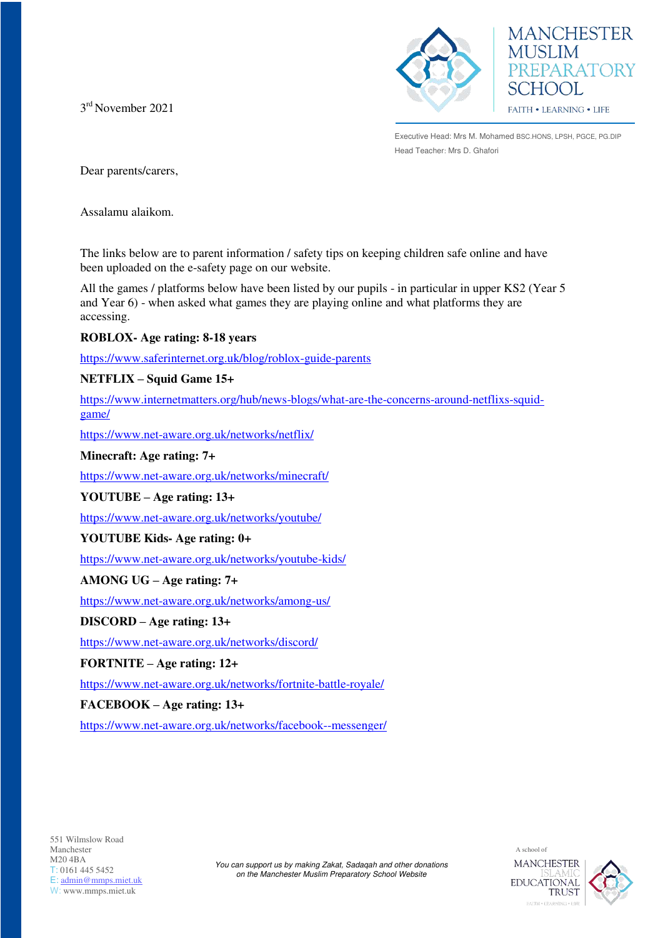3 rd November 2021





Executive Head: Mrs M. Mohamed BSC.HONS, LPSH, PGCE, PG.DIP Head Teacher: Mrs D. Ghafori

Dear parents/carers,

Assalamu alaikom.

The links below are to parent information / safety tips on keeping children safe online and have been uploaded on the e-safety page on our website.

All the games / platforms below have been listed by our pupils - in particular in upper KS2 (Year 5) and Year 6) - when asked what games they are playing online and what platforms they are accessing.

# **ROBLOX- Age rating: 8-18 years**

<https://www.saferinternet.org.uk/blog/roblox-guide-parents>

# **NETFLIX – Squid Game 15+**

[https://www.internetmatters.org/hub/news-blogs/what-are-the-concerns-around-netflixs-squid](https://www.internetmatters.org/hub/news-blogs/what-are-the-concerns-around-netflixs-squid-game/)[game/](https://www.internetmatters.org/hub/news-blogs/what-are-the-concerns-around-netflixs-squid-game/)

<https://www.net-aware.org.uk/networks/netflix/>

## **Minecraft: Age rating: 7+**

<https://www.net-aware.org.uk/networks/minecraft/>

**YOUTUBE – Age rating: 13+** 

<https://www.net-aware.org.uk/networks/youtube/>

# **YOUTUBE Kids- Age rating: 0+**

<https://www.net-aware.org.uk/networks/youtube-kids/>

# **AMONG UG – Age rating: 7+**

<https://www.net-aware.org.uk/networks/among-us/>

## **DISCORD – Age rating: 13+**

<https://www.net-aware.org.uk/networks/discord/>

**FORTNITE – Age rating: 12+** 

<https://www.net-aware.org.uk/networks/fortnite-battle-royale/>

## **FACEBOOK – Age rating: 13+**

<https://www.net-aware.org.uk/networks/facebook--messenger/>